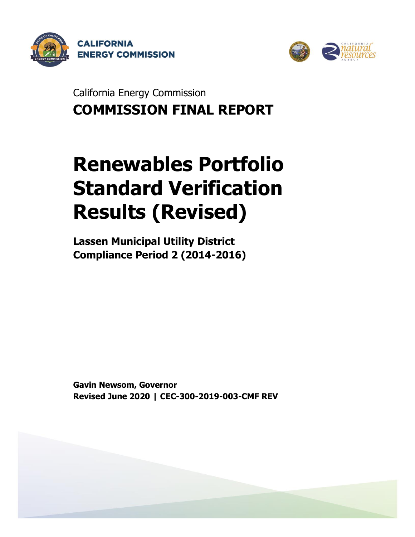



California Energy Commission **COMMISSION FINAL REPORT**

# **Renewables Portfolio Standard Verification Results (Revised)**

**Lassen Municipal Utility District Compliance Period 2 (2014-2016)**

**Gavin Newsom, Governor Revised June 2020 | CEC-300-2019-003-CMF REV**

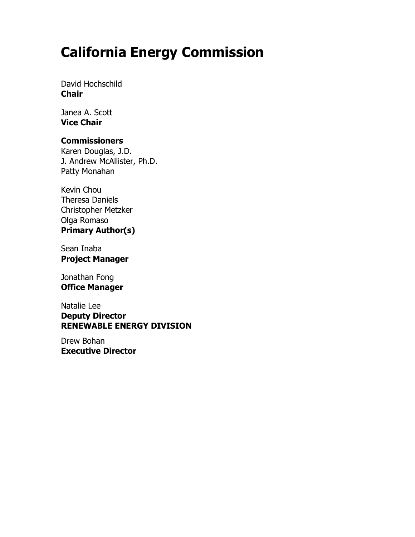# **California Energy Commission**

David Hochschild **Chair**

Janea A. Scott **Vice Chair**

#### **Commissioners**

Karen Douglas, J.D. J. Andrew McAllister, Ph.D. Patty Monahan

Kevin Chou Theresa Daniels Christopher Metzker Olga Romaso **Primary Author(s)**

Sean Inaba **Project Manager**

Jonathan Fong **Office Manager**

Natalie Lee **Deputy Director RENEWABLE ENERGY DIVISION**

Drew Bohan **Executive Director**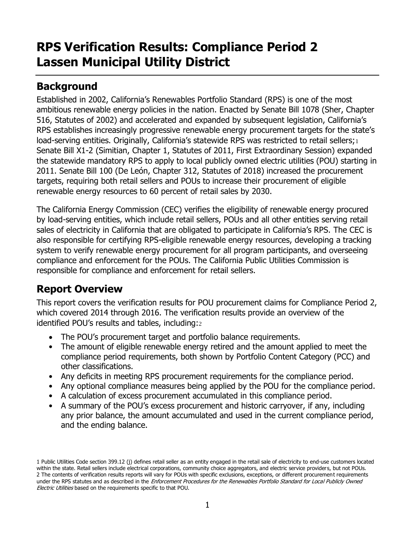# **RPS Verification Results: Compliance Period 2 Lassen Municipal Utility District**

# **Background**

Established in 2002, California's Renewables Portfolio Standard (RPS) is one of the most ambitious renewable energy policies in the nation. Enacted by Senate Bill 1078 (Sher, Chapter 516, Statutes of 2002) and accelerated and expanded by subsequent legislation, California's RPS establishes increasingly progressive renewable energy procurement targets for the state's load-serving entities. Originally, California's statewide RPS was restricted to retail sellers;1 Senate Bill X1-2 (Simitian, Chapter 1, Statutes of 2011, First Extraordinary Session) expanded the statewide mandatory RPS to apply to local publicly owned electric utilities (POU) starting in 2011. Senate Bill 100 (De León, Chapter 312, Statutes of 2018) increased the procurement targets, requiring both retail sellers and POUs to increase their procurement of eligible renewable energy resources to 60 percent of retail sales by 2030.

The California Energy Commission (CEC) verifies the eligibility of renewable energy procured by load-serving entities, which include retail sellers, POUs and all other entities serving retail sales of electricity in California that are obligated to participate in California's RPS. The CEC is also responsible for certifying RPS-eligible renewable energy resources, developing a tracking system to verify renewable energy procurement for all program participants, and overseeing compliance and enforcement for the POUs. The California Public Utilities Commission is responsible for compliance and enforcement for retail sellers.

# **Report Overview**

This report covers the verification results for POU procurement claims for Compliance Period 2, which covered 2014 through 2016. The verification results provide an overview of the identified POU's results and tables, including:<sup>2</sup>

- The POU's procurement target and portfolio balance requirements.
- The amount of eligible renewable energy retired and the amount applied to meet the compliance period requirements, both shown by Portfolio Content Category (PCC) and other classifications.
- Any deficits in meeting RPS procurement requirements for the compliance period.
- Any optional compliance measures being applied by the POU for the compliance period.
- A calculation of excess procurement accumulated in this compliance period.
- A summary of the POU's excess procurement and historic carryover, if any, including any prior balance, the amount accumulated and used in the current compliance period, and the ending balance.

<sup>1</sup> Public Utilities Code section 399.12 (j) defines retail seller as an entity engaged in the retail sale of electricity to end-use customers located within the state. Retail sellers include electrical corporations, community choice aggregators, and electric service providers, but not POUs. 2 The contents of verification results reports will vary for POUs with specific exclusions, exceptions, or different procurement requirements under the RPS statutes and as described in the Enforcement Procedures for the Renewables Portfolio Standard for Local Publicly Owned Electric Utilities based on the requirements specific to that POU.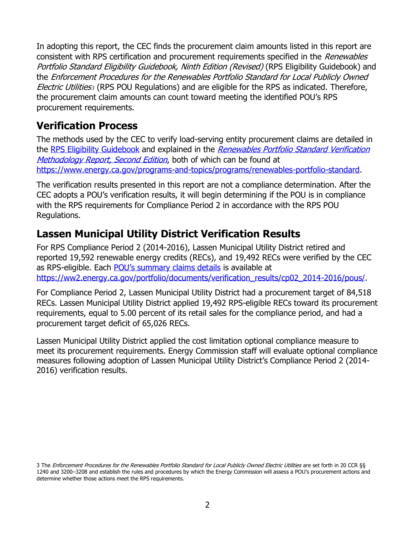In adopting this report, the CEC finds the procurement claim amounts listed in this report are consistent with RPS certification and procurement requirements specified in the *Renewables* Portfolio Standard Eligibility Guidebook, Ninth Edition (Revised) (RPS Eligibility Guidebook) and the Enforcement Procedures for the Renewables Portfolio Standard for Local Publicly Owned Electric Utilities*<sup>3</sup>* (RPS POU Regulations) and are eligible for the RPS as indicated. Therefore, the procurement claim amounts can count toward meeting the identified POU's RPS procurement requirements.

## **Verification Process**

The methods used by the CEC to verify load-serving entity procurement claims are detailed in the [RPS Eligibility Guidebook](https://efiling.energy.ca.gov/getdocument.aspx?tn=217317) and explained in the Renewables Portfolio Standard Verification [Methodology Report, Second Edition](https://ww2.energy.ca.gov/2018publications/CEC-300-2018-008/CEC-300-2018-008-SF.pdf), both of which can be found at [https://www.energy.ca.gov/programs-and-topics/programs/renewables-portfolio-standard.](https://www.energy.ca.gov/programs-and-topics/programs/renewables-portfolio-standard)

The verification results presented in this report are not a compliance determination. After the CEC adopts a POU's verification results, it will begin determining if the POU is in compliance with the RPS requirements for Compliance Period 2 in accordance with the RPS POU Regulations.

# **Lassen Municipal Utility District Verification Results**

For RPS Compliance Period 2 (2014-2016), Lassen Municipal Utility District retired and reported 19,592 renewable energy credits (RECs), and 19,492 RECs were verified by the CEC as RPS-eligible. Each [POU's summary claims details](https://ww2.energy.ca.gov/portfolio/documents/verification_results/cp02_2014-2016/pous/Truckee%25) is available at [https://ww2.energy.ca.gov/portfolio/documents/verification\\_results/cp02\\_2014-2016/pous/.](https://ww2.energy.ca.gov/portfolio/documents/verification_results/cp02_2014-2016/pous/)

For Compliance Period 2, Lassen Municipal Utility District had a procurement target of 84,518 RECs. Lassen Municipal Utility District applied 19,492 RPS-eligible RECs toward its procurement requirements, equal to 5.00 percent of its retail sales for the compliance period, and had a procurement target deficit of 65,026 RECs.

Lassen Municipal Utility District applied the cost limitation optional compliance measure to meet its procurement requirements. Energy Commission staff will evaluate optional compliance measures following adoption of Lassen Municipal Utility District's Compliance Period 2 (2014- 2016) verification results.

<sup>3</sup> The Enforcement Procedures for the Renewables Portfolio Standard for Local Publicly Owned Electric Utilities are set forth in 20 CCR §§ 1240 and 3200–3208 and establish the rules and procedures by which the Energy Commission will assess a POU's procurement actions and determine whether those actions meet the RPS requirements.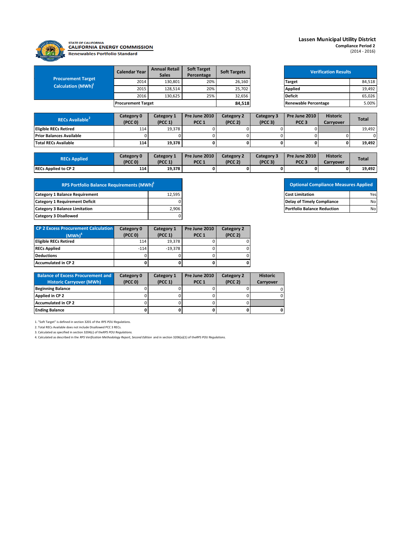

#### STATE OF CALIFORNIA<br>CALIFORNIA ENERGY COMMISSION **Renewables Portfolio Standard**

#### **Lassen Municipal Utility District**

**Compliance Period 2** (2014 - 2016)

| <b>Procurement Target</b><br>Calculation (MWh) <sup>1</sup> | <b>Calendar Year</b>      | <b>Annual Retail</b><br><b>Sales</b> | <b>Soft Target</b><br>Percentage | <b>Soft Targets</b> | <b>Verification Results</b> |        |
|-------------------------------------------------------------|---------------------------|--------------------------------------|----------------------------------|---------------------|-----------------------------|--------|
|                                                             | 2014                      | 130,801                              | 20%                              | 26,160              | <b>Target</b>               | 84,518 |
|                                                             | 2015                      | 128,514                              | 20%                              | 25,702              | <b>Applied</b>              | 19,492 |
|                                                             | 2016                      | 130.625                              | 25%                              | 32,656              | <b>Deficit</b>              | 65.026 |
|                                                             | <b>Procurement Target</b> |                                      |                                  | 84,518              | <b>Renewable Percentage</b> | 5.00%  |

| <b>Verification Results</b> |        |  |  |  |  |  |
|-----------------------------|--------|--|--|--|--|--|
| Target                      | 84,518 |  |  |  |  |  |
| <b>Applied</b>              | 19,492 |  |  |  |  |  |
| <b>Deficit</b>              | 65,026 |  |  |  |  |  |
| <b>Renewable Percentage</b> | 5.00%  |  |  |  |  |  |

| <b>RECs Available</b>           | Category 0<br>(PCC <sub>0</sub> ) | Category 1<br>(PCC 1) | <b>Pre June 2010</b><br>PCC <sub>1</sub> | Category 2<br>(PCC <sub>2</sub> ) | Category 3<br>(PCC <sub>3</sub> ) | <b>Pre June 2010</b><br>PCC <sub>3</sub> | <b>Historic</b><br>Carrvover | <b>Total</b> |
|---------------------------------|-----------------------------------|-----------------------|------------------------------------------|-----------------------------------|-----------------------------------|------------------------------------------|------------------------------|--------------|
| <b>Eligible RECs Retired</b>    | 114                               | 19.378                |                                          |                                   |                                   |                                          |                              | 19,492       |
| <b>Prior Balances Available</b> |                                   |                       |                                          |                                   |                                   |                                          |                              |              |
| <b>Total RECs Available</b>     | 114                               | 19.378                |                                          |                                   |                                   |                                          | 0                            | 19.492       |

| <b>RECs Applied</b>         | Category 0<br>(PCC 0) | Category 1<br>(PCC 1) | Pre June 2010<br>PCC <sub>1</sub> | Category $\angle$<br>(PCC <sub>2</sub> ) | Category 3<br>(PCC <sub>3</sub> ) | Pre June 2010<br>PCC <sub>3</sub> | <b>Historic</b><br>Carrvover | <b>Total</b> |
|-----------------------------|-----------------------|-----------------------|-----------------------------------|------------------------------------------|-----------------------------------|-----------------------------------|------------------------------|--------------|
| <b>RECs Applied to CP 2</b> | 114                   | 19,378                |                                   |                                          | 0                                 |                                   |                              | 19,492       |

| <b>RPS Portfolio Balance Requirements (MWh)<sup>2</sup></b> |        |
|-------------------------------------------------------------|--------|
| <b>Category 1 Balance Requirement</b>                       | 12.595 |
| <b>Category 1 Requirement Deficit</b>                       |        |
| <b>Category 3 Balance Limitation</b>                        | 2,906  |
| <b>Category 3 Disallowed</b>                                |        |

| <b>CP 2 Excess Procurement Calculation</b> | Category 0          | Category 1          | Pre June 2010    | Category 2          |
|--------------------------------------------|---------------------|---------------------|------------------|---------------------|
| $(MWh)^4$                                  | (PCC <sub>0</sub> ) | (PCC <sub>1</sub> ) | PCC <sub>1</sub> | (PCC <sub>2</sub> ) |
| <b>Eligible RECs Retired</b>               | 114                 | 19.378              |                  |                     |
| <b>RECs Applied</b>                        | $-114$              | $-19.378$           |                  |                     |
| <b>Deductions</b>                          |                     |                     |                  |                     |
| Accumulated in CP 2                        |                     |                     |                  |                     |

| <b>Balance of Excess Procurement and</b> | Category 0          | Category 1 | Pre June 2010    | Category 2          | <b>Historic</b> |
|------------------------------------------|---------------------|------------|------------------|---------------------|-----------------|
| <b>Historic Carryover (MWh)</b>          | (PCC <sub>0</sub> ) | (PCC 1)    | PCC <sub>1</sub> | (PCC <sub>2</sub> ) | Carrvover       |
| <b>Beginning Balance</b>                 |                     |            |                  |                     |                 |
| Applied in CP 2                          |                     |            |                  |                     |                 |
| Accumulated in CP 2                      |                     |            |                  |                     |                 |
| <b>Ending Balance</b>                    |                     |            |                  |                     | ΟI              |

1. "Soft Target" is defined in section 3201 of the *RPS POU Regulations.*

2. Total RECs Available does not include Disallowed PCC 3 RECs.

3. Calculated as specified in section 3204(c) of the*RPS POU Regulotions.*<br>4. Calculated as described in the *RPS Verification Methodology Report, Second Edition* and in section 3206(a)(1) of the*RPS POU Regulotions.* 

### **Optional Compliance Measures Applied Category 1 Report Definition Defay of Timely Compliance** No **Portfolio Balance Reduction** 2,906 **No**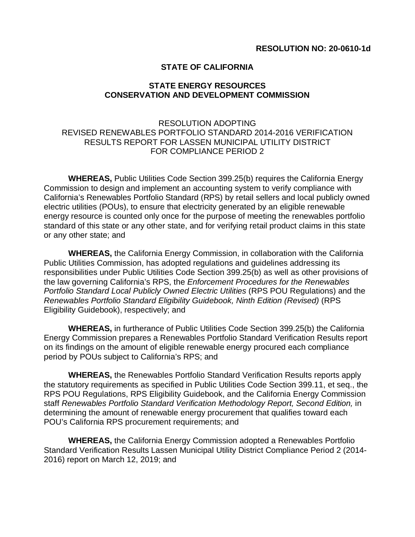#### **STATE OF CALIFORNIA**

#### **STATE ENERGY RESOURCES CONSERVATION AND DEVELOPMENT COMMISSION**

#### RESOLUTION ADOPTING REVISED RENEWABLES PORTFOLIO STANDARD 2014-2016 VERIFICATION RESULTS REPORT FOR LASSEN MUNICIPAL UTILITY DISTRICT FOR COMPLIANCE PERIOD 2

**WHEREAS,** Public Utilities Code Section 399.25(b) requires the California Energy Commission to design and implement an accounting system to verify compliance with California's Renewables Portfolio Standard (RPS) by retail sellers and local publicly owned electric utilities (POUs), to ensure that electricity generated by an eligible renewable energy resource is counted only once for the purpose of meeting the renewables portfolio standard of this state or any other state, and for verifying retail product claims in this state or any other state; and

**WHEREAS,** the California Energy Commission, in collaboration with the California Public Utilities Commission, has adopted regulations and guidelines addressing its responsibilities under Public Utilities Code Section 399.25(b) as well as other provisions of the law governing California's RPS, the *Enforcement Procedures for the Renewables Portfolio Standard Local Publicly Owned Electric Utilities* (RPS POU Regulations) and the *Renewables Portfolio Standard Eligibility Guidebook, Ninth Edition (Revised)* (RPS Eligibility Guidebook), respectively; and

**WHEREAS,** in furtherance of Public Utilities Code Section 399.25(b) the California Energy Commission prepares a Renewables Portfolio Standard Verification Results report on its findings on the amount of eligible renewable energy procured each compliance period by POUs subject to California's RPS; and

**WHEREAS,** the Renewables Portfolio Standard Verification Results reports apply the statutory requirements as specified in Public Utilities Code Section 399.11, et seq., the RPS POU Regulations, RPS Eligibility Guidebook, and the California Energy Commission staff *Renewables Portfolio Standard Verification Methodology Report, Second Edition,* in determining the amount of renewable energy procurement that qualifies toward each POU's California RPS procurement requirements; and

**WHEREAS,** the California Energy Commission adopted a Renewables Portfolio Standard Verification Results Lassen Municipal Utility District Compliance Period 2 (2014- 2016) report on March 12, 2019; and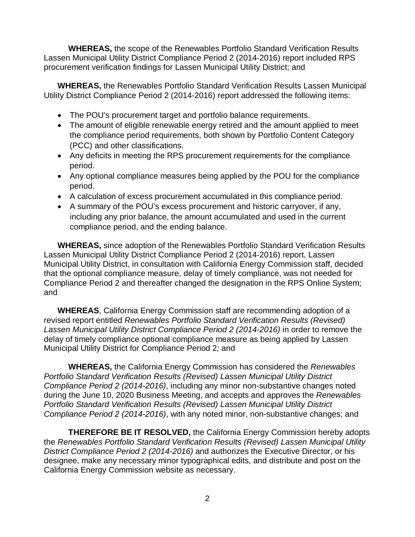**WHEREAS,** the scope of the Renewables Portfolio Standard Verification Results Lassen Municipal Utility District Compliance Period 2 (2014-2016) report included RPS procurement verification findings for Lassen Municipal Utility District; and

**WHEREAS,** the Renewables Portfolio Standard Verification Results Lassen Municipal Utility District Compliance Period 2 (2014-2016) report addressed the following items:

- The POU's procurement target and portfolio balance requirements.
- The amount of eligible renewable energy retired and the amount applied to meet the compliance period requirements, both shown by Portfolio Content Category (PCC) and other classifications.
- Any deficits in meeting the RPS procurement requirements for the compliance period.
- Any optional compliance measures being applied by the POU for the compliance period.
- A calculation of excess procurement accumulated in this compliance period.
- A summary of the POU's excess procurement and historic carryover, if any, including any prior balance, the amount accumulated and used in the current compliance period, and the ending balance.

**WHEREAS,** since adoption of the Renewables Portfolio Standard Verification Results Lassen Municipal Utility District Compliance Period 2 (2014-2016) report, Lassen Municipal Utility District, in consultation with California Energy Commission staff, decided that the optional compliance measure, delay of timely compliance, was not needed for Compliance Period 2 and thereafter changed the designation in the RPS Online System; and

**WHEREAS**, California Energy Commission staff are recommending adoption of a revised report entitled *Renewables Portfolio Standard Verification Results (Revised) Lassen Municipal Utility District Compliance Period 2 (2014-2016)* in order to remove the delay of timely compliance optional compliance measure as being applied by Lassen Municipal Utility District for Compliance Period 2*;* and

**WHEREAS,** the California Energy Commission has considered the *Renewables Portfolio Standard Verification Results (Revised) Lassen Municipal Utility District Compliance Period 2 (2014-2016)*, including any minor non-substantive changes noted during the June 10, 2020 Business Meeting, and accepts and approves the *Renewables Portfolio Standard Verification Results (Revised) Lassen Municipal Utility District Compliance Period 2 (2014-2016)*, with any noted minor, non-substantive changes; and

**THEREFORE BE IT RESOLVED,** the California Energy Commission hereby adopts the *Renewables Portfolio Standard Verification Results (Revised) Lassen Municipal Utility District Compliance Period 2 (2014-2016)* and authorizes the Executive Director, or his designee, make any necessary minor typographical edits, and distribute and post on the California Energy Commission website as necessary.